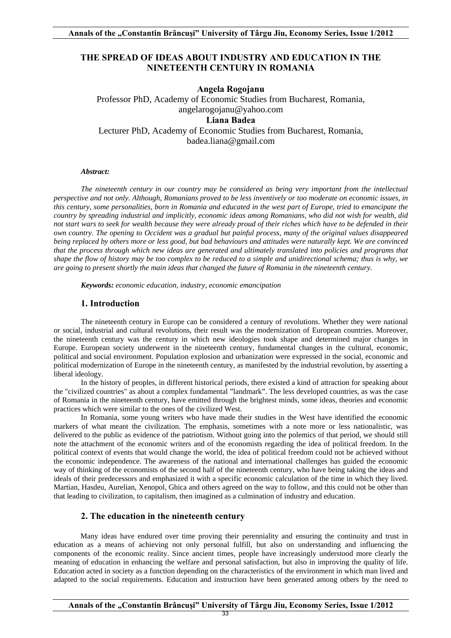# **THE SPREAD OF IDEAS ABOUT INDUSTRY AND EDUCATION IN THE NINETEENTH CENTURY IN ROMANIA**

**Angela Rogojanu**  Professor PhD, Academy of Economic Studies from Bucharest, Romania, angelarogojanu@yahoo.com **Liana Badea**  Lecturer PhD, Academy of Economic Studies from Bucharest, Romania, badea.liana@gmail.com

#### *Abstract:*

*The nineteenth century in our country may be considered as being very important from the intellectual perspective and not only. Although, Romanians proved to be less inventively or too moderate on economic issues, in this century, some personalities, born in Romania and educated in the west part of Europe, tried to emancipate the country by spreading industrial and implicitly, economic ideas among Romanians, who did not wish for wealth, did not start wars to seek for wealth because they were already proud of their riches which have to be defended in their own country. The opening to Occident was a gradual but painful process, many of the original values disappeared being replaced by others more or less good, but bad behaviours and attitudes were naturally kept. We are convinced that the process through which new ideas are generated and ultimately translated into policies and programs that shape the flow of history may be too complex to be reduced to a simple and unidirectional schema; thus is why, we are going to present shortly the main ideas that changed the future of Romania in the nineteenth century.* 

 *Keywords: economic education, industry, economic emancipation* 

### **1. Introduction**

The nineteenth century in Europe can be considered a century of revolutions. Whether they were national or social, industrial and cultural revolutions, their result was the modernization of European countries. Moreover, the nineteenth century was the century in which new ideologies took shape and determined major changes in Europe. European society underwent in the nineteenth century, fundamental changes in the cultural, economic, political and social environment. Population explosion and urbanization were expressed in the social, economic and political modernization of Europe in the nineteenth century, as manifested by the industrial revolution, by asserting a liberal ideology.

In the history of peoples, in different historical periods, there existed a kind of attraction for speaking about the "civilized countries" as about a complex fundamental "landmark". The less developed countries, as was the case of Romania in the nineteenth century, have emitted through the brightest minds, some ideas, theories and economic practices which were similar to the ones of the civilized West.

In Romania, some young writers who have made their studies in the West have identified the economic markers of what meant the civilization. The emphasis, sometimes with a note more or less nationalistic, was delivered to the public as evidence of the patriotism. Without going into the polemics of that period, we should still note the attachment of the economic writers and of the economists regarding the idea of political freedom. In the political context of events that would change the world, the idea of political freedom could not be achieved without the economic independence. The awareness of the national and international challenges has guided the economic way of thinking of the economists of the second half of the nineteenth century, who have being taking the ideas and ideals of their predecessors and emphasized it with a specific economic calculation of the time in which they lived. Martian, Hasdeu, Aurelian, Xenopol, Ghica and others agreed on the way to follow, and this could not be other than that leading to civilization, to capitalism, then imagined as a culmination of industry and education.

### **2. The education in the nineteenth century**

Many ideas have endured over time proving their perenniality and ensuring the continuity and trust in education as a means of achieving not only personal fulfill, but also on understanding and influencing the components of the economic reality. Since ancient times, people have increasingly understood more clearly the meaning of education in enhancing the welfare and personal satisfaction, but also in improving the quality of life. Education acted in society as a function depending on the characteristics of the environment in which man lived and adapted to the social requirements. Education and instruction have been generated among others by the need to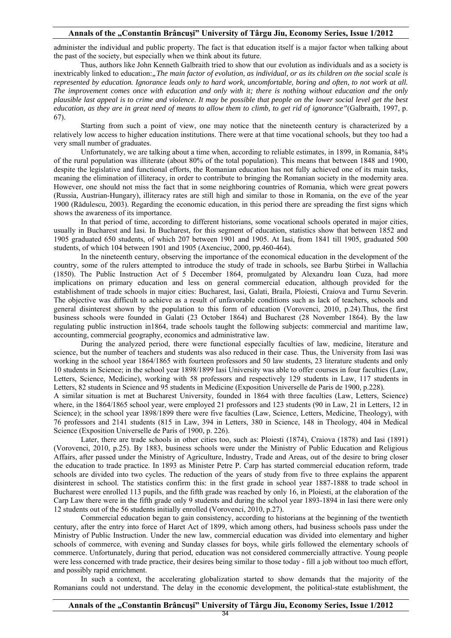administer the individual and public property. The fact is that education itself is a major factor when talking about the past of the society, but especially when we think about its future.

Thus, authors like John Kenneth Galbraith tried to show that our evolution as individuals and as a society is inextricably linked to education:*"The main factor of evolution, as individual, or as its children on the social scale is represented by education. Ignorance leads only to hard work, uncomfortable, boring and often, to not work at all. The improvement comes once with education and only with it; there is nothing without education and the only plausible last appeal is to crime and violence. It may be possible that people on the lower social level get the best education, as they are in great need of means to allow them to climb, to get rid of ignorance"*(Galbraith, 1997, p. 67).

Starting from such a point of view, one may notice that the nineteenth century is characterized by a relatively low access to higher education institutions. There were at that time vocational schools, but they too had a very small number of graduates.

Unfortunately, we are talking about a time when, according to reliable estimates, in 1899, in Romania, 84% of the rural population was illiterate (about 80% of the total population). This means that between 1848 and 1900, despite the legislative and functional efforts, the Romanian education has not fully achieved one of its main tasks, meaning the elimination of illiteracy, in order to contribute to bringing the Romanian society in the modernity area. However, one should not miss the fact that in some neighboring countries of Romania, which were great powers (Russia, Austrian-Hungary), illiteracy rates are still high and similar to those in Romania, on the eve of the year 1900 (Rădulescu, 2003). Regarding the economic education, in this period there are spreading the first signs which shows the awareness of its importance.

In that period of time, according to different historians, some vocational schools operated in major cities, usually in Bucharest and Iasi. In Bucharest, for this segment of education, statistics show that between 1852 and 1905 graduated 650 students, of which 207 between 1901 and 1905. At Iasi, from 1841 till 1905, graduated 500 students, of which 104 between 1901 and 1905 (Axenciuc, 2000, pp.460-464).

In the nineteenth century, observing the importance of the economical education in the development of the country, some of the rulers attempted to introduce the study of trade in schools, see Barbu Ştirbei in Wallachia (1850). The Public Instruction Act of 5 December 1864, promulgated by Alexandru Ioan Cuza, had more implications on primary education and less on general commercial education, although provided for the establishment of trade schools in major cities: Bucharest, Iasi, Galati, Braila, Ploiesti, Craiova and Turnu Severin. The objective was difficult to achieve as a result of unfavorable conditions such as lack of teachers, schools and general disinterest shown by the population to this form of education (Vorovenci, 2010, p.24).Thus, the first business schools were founded in Galati (23 October 1864) and Bucharest (28 November 1864). By the law regulating public instruction in1864, trade schools taught the following subjects: commercial and maritime law, accounting, commercial geography, economics and administrative law.

During the analyzed period, there were functional especially faculties of law, medicine, literature and science, but the number of teachers and students was also reduced in their case. Thus, the University from Iasi was working in the school year 1864/1865 with fourteen professors and 50 law students, 23 literature students and only 10 students in Science; in the school year 1898/1899 Iasi University was able to offer courses in four faculties (Law, Letters, Science, Medicine), working with 58 professors and respectively 129 students in Law, 117 students in Letters, 82 students in Science and 95 students in Medicine (Exposition Universelle de Paris de 1900, p.228).

A similar situation is met at Bucharest University, founded in 1864 with three faculties (Law, Letters, Science) where, in the 1864/1865 school year, were employed 21 professors and 123 students (90 in Law, 21 in Letters, 12 in Science); in the school year 1898/1899 there were five faculties (Law, Science, Letters, Medicine, Theology), with 76 professors and 2141 students (815 in Law, 394 in Letters, 380 in Science, 148 in Theology, 404 in Medical Science (Exposition Universelle de Paris of 1900, p. 226).

Later, there are trade schools in other cities too, such as: Ploiesti (1874), Craiova (1878) and Iasi (1891) (Vorovenci, 2010, p.25). By 1883, business schools were under the Ministry of Public Education and Religious Affairs, after passed under the Ministry of Agriculture, Industry, Trade and Areas, out of the desire to bring closer the education to trade practice. In 1893 as Minister Petre P. Carp has started commercial education reform, trade schools are divided into two cycles. The reduction of the years of study from five to three explains the apparent disinterest in school. The statistics confirm this: in the first grade in school year 1887-1888 to trade school in Bucharest were enrolled 113 pupils, and the fifth grade was reached by only 16, in Ploiesti, at the elaboration of the Carp Law there were in the fifth grade only 9 students and during the school year 1893-1894 in Iasi there were only 12 students out of the 56 students initially enrolled (Vorovenci, 2010, p.27).

Commercial education began to gain consistency, according to historians at the beginning of the twentieth century, after the entry into force of Haret Act of 1899, which among others, had business schools pass under the Ministry of Public Instruction. Under the new law, commercial education was divided into elementary and higher schools of commerce, with evening and Sunday classes for boys, while girls followed the elementary schools of commerce. Unfortunately, during that period, education was not considered commercially attractive. Young people were less concerned with trade practice, their desires being similar to those today - fill a job without too much effort, and possibly rapid enrichment.

In such a context, the accelerating globalization started to show demands that the majority of the Romanians could not understand. The delay in the economic development, the political-state establishment, the

34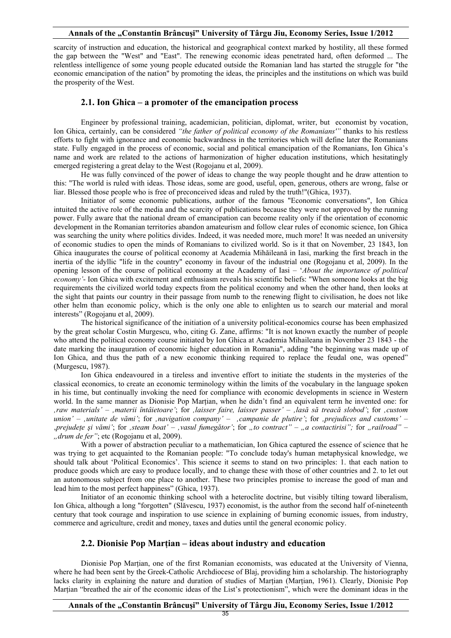scarcity of instruction and education, the historical and geographical context marked by hostility, all these formed the gap between the "West" and "East". The renewing economic ideas penetrated hard, often deformed ... The relentless intelligence of some young people educated outside the Romanian land has started the struggle for "the economic emancipation of the nation" by promoting the ideas, the principles and the institutions on which was build the prosperity of the West.

### **2.1. Ion Ghica – a promoter of the emancipation process**

Engineer by professional training, academician, politician, diplomat, writer, but economist by vocation, Ion Ghica, certainly, can be considered *"the father of political economy of the Romanians'"* thanks to his restless efforts to fight with ignorance and economic backwardness in the territories which will define later the Romanians state. Fully engaged in the process of economic, social and political emancipation of the Romanians, Ion Ghica's name and work are related to the actions of harmonization of higher education institutions, which hesitatingly emerged registering a great delay to the West (Rogojanu et al, 2009).

He was fully convinced of the power of ideas to change the way people thought and he draw attention to this: "The world is ruled with ideas. Those ideas, some are good, useful, open, generous, others are wrong, false or liar. Blessed those people who is free of preconceived ideas and ruled by the truth!"(Ghica, 1937).

Initiator of some economic publications, author of the famous "Economic conversations", Ion Ghica intuited the active role of the media and the scarcity of publications because they were not approved by the running power. Fully aware that the national dream of emancipation can become reality only if the orientation of economic development in the Romanian territories abandon amateurism and follow clear rules of economic science, Ion Ghica was searching the unity where politics divides. Indeed, it was needed more, much more! It was needed an university of economic studies to open the minds of Romanians to civilized world. So is it that on November, 23 1843, Ion Ghica inaugurates the course of political economy at Academia Mihăileană in Iasi, marking the first breach in the inertia of the idyllic "life in the country" economy in favour of the industrial one (Rogojanu et al, 2009). In the opening lesson of the course of political economy at the Academy of Iasi – '*About the importance of political economy'*- Ion Ghica with excitement and enthusiasm reveals his scientific beliefs: "When someone looks at the big requirements the civilized world today expects from the political economy and when the other hand, then looks at the sight that paints our country in their passage from numb to the renewing flight to civilisation, he does not like other helm than economic policy, which is the only one able to enlighten us to search our material and moral interests" (Rogojanu et al, 2009).

The historical significance of the initiation of a university political-economics course has been emphasized by the great scholar Costin Murgescu, who, citing G. Zane, affirms: "It is not known exactly the number of people who attend the political economy course initiated by Ion Ghica at Academia Mihaileana in November 23 1843 - the date marking the inauguration of economic higher education in Romania", adding "the beginning was made up of Ion Ghica, and thus the path of a new economic thinking required to replace the feudal one, was opened" (Murgescu, 1987).

Ion Ghica endeavoured in a tireless and inventive effort to initiate the students in the mysteries of the classical economics, to create an economic terminology within the limits of the vocabulary in the language spoken in his time, but continually invoking the need for compliance with economic developments in science in Western world. In the same manner as Dionisie Pop Marţian, when he didn't find an equivalent term he invented one: for *'raw materials'* – *'materii întâietoare'*; for *'laisser faire, laisser passer'* – *'lasă să treacă slobod'*; for *'custom union'* – *'unitate de vămi'*; for *'navigation company'* – *'campanie de plutire'*; for *'prejudices and customs'* – '*prejudeţe şi vămi'*; for *'steam boat'* – *'vasul fumegător'*; for *"to contract" – "a contactirisi";* for *"railroad"* – *"drum de fer"*; etc (Rogojanu et al, 2009).

With a power of abstraction peculiar to a mathematician, Ion Ghica captured the essence of science that he was trying to get acquainted to the Romanian people: "To conclude today's human metaphysical knowledge, we should talk about 'Political Economics'. This science it seems to stand on two principles: 1. that each nation to produce goods which are easy to produce locally, and to change these with those of other countries and 2. to let out an autonomous subject from one place to another. These two principles promise to increase the good of man and lead him to the most perfect happiness" (Ghica, 1937).

Initiator of an economic thinking school with a heteroclite doctrine, but visibly tilting toward liberalism, Ion Ghica, although a long "forgotten" (Slăvescu, 1937) economist, is the author from the second half of-nineteenth century that took courage and inspiration to use science in explaining of burning economic issues, from industry, commerce and agriculture, credit and money, taxes and duties until the general economic policy.

## **2.2. Dionisie Pop Marțian – ideas about industry and education**

Dionisie Pop Marțian, one of the first Romanian economists, was educated at the University of Vienna, where he had been sent by the Greek-Catholic Archdiocese of Blaj, providing him a scholarship. The historiography lacks clarity in explaining the nature and duration of studies of Marțian (Marțian, 1961). Clearly, Dionisie Pop Marțian "breathed the air of the economic ideas of the List's protectionism", which were the dominant ideas in the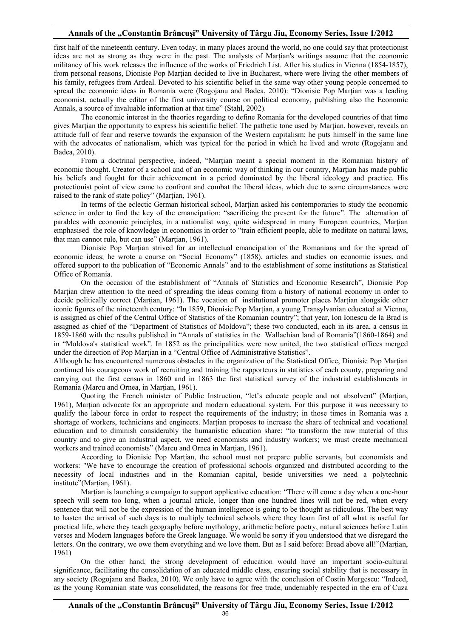first half of the nineteenth century. Even today, in many places around the world, no one could say that protectionist ideas are not as strong as they were in the past. The analysts of Marțian's writings assume that the economic militancy of his work releases the influence of the works of Friedrich List. After his studies in Vienna (1854-1857), from personal reasons, Dionisie Pop Marțian decided to live in Bucharest, where were living the other members of his family, refugees from Ardeal. Devoted to his scientific belief in the same way other young people concerned to spread the economic ideas in Romania were (Rogojanu and Badea, 2010): "Dionisie Pop Marțian was a leading economist, actually the editor of the first university course on political economy, publishing also the Economic Annals, a source of invaluable information at that time" (Stahl, 2002).

The economic interest in the theories regarding to define Romania for the developed countries of that time gives Marțian the opportunity to express his scientific belief. The pathetic tone used by Marțian, however, reveals an attitude full of fear and reserve towards the expansion of the Western capitalism; he puts himself in the same line with the advocates of nationalism, which was typical for the period in which he lived and wrote (Rogojanu and Badea, 2010).

From a doctrinal perspective, indeed, "Marțian meant a special moment in the Romanian history of economic thought. Creator of a school and of an economic way of thinking in our country, Marțian has made public his beliefs and fought for their achievement in a period dominated by the liberal ideology and practice. His protectionist point of view came to confront and combat the liberal ideas, which due to some circumstances were raised to the rank of state policy" (Marțian, 1961).

In terms of the eclectic German historical school, Marțian asked his contemporaries to study the economic science in order to find the key of the emancipation: "sacrificing the present for the future". The alternation of parables with economic principles, in a nationalist way, quite widespread in many European countries, Marțian emphasised the role of knowledge in economics in order to "train efficient people, able to meditate on natural laws, that man cannot rule, but can use" (Marțian, 1961).

Dionisie Pop Marțian strived for an intellectual emancipation of the Romanians and for the spread of economic ideas; he wrote a course on "Social Economy" (1858), articles and studies on economic issues, and offered support to the publication of "Economic Annals" and to the establishment of some institutions as Statistical Office of Romania.

On the occasion of the establishment of "Annals of Statistics and Economic Research", Dionisie Pop Marțian drew attention to the need of spreading the ideas coming from a history of national economy in order to decide politically correct (Marțian, 1961). The vocation of institutional promoter places Marțian alongside other iconic figures of the nineteenth century: "In 1859, Dionisie Pop Marțian, a young Transylvanian educated at Vienna, is assigned as chief of the Central Office of Statistics of the Romanian country"; that year, Ion Ionescu de la Brad is assigned as chief of the "Department of Statistics of Moldova"; these two conducted, each in its area, a census in 1859-1860 with the results published in "Annals of statistics in the Wallachian land of Romania"(1860-1864) and in "Moldova's statistical work". In 1852 as the principalities were now united, the two statistical offices merged under the direction of Pop Marțian in a "Central Office of Administrative Statistics".

Although he has encountered numerous obstacles in the organization of the Statistical Office, Dionisie Pop Marțian continued his courageous work of recruiting and training the rapporteurs in statistics of each county, preparing and carrying out the first census in 1860 and in 1863 the first statistical survey of the industrial establishments in Romania (Marcu and Ornea, in Marțian, 1961).

Quoting the French minister of Public Instruction, "let's educate people and not absolvent" (Marțian, 1961), Marțian advocate for an appropriate and modern educational system. For this purpose it was necessary to qualify the labour force in order to respect the requirements of the industry; in those times in Romania was a shortage of workers, technicians and engineers. Marțian proposes to increase the share of technical and vocational education and to diminish considerably the humanistic education share: "to transform the raw material of this country and to give an industrial aspect, we need economists and industry workers; we must create mechanical workers and trained economists" (Marcu and Ornea in Marțian, 1961).

According to Dionisie Pop Marțian, the school must not prepare public servants, but economists and workers: "We have to encourage the creation of professional schools organized and distributed according to the necessity of local industries and in the Romanian capital, beside universities we need a polytechnic institute"(Marțian, 1961).

Marțian is launching a campaign to support applicative education: "There will come a day when a one-hour speech will seem too long, when a journal article, longer than one hundred lines will not be red, when every sentence that will not be the expression of the human intelligence is going to be thought as ridiculous. The best way to hasten the arrival of such days is to multiply technical schools where they learn first of all what is useful for practical life, where they teach geography before mythology, arithmetic before poetry, natural sciences before Latin verses and Modern languages before the Greek language. We would be sorry if you understood that we disregard the letters. On the contrary, we owe them everything and we love them. But as I said before: Bread above all!"(Marțian, 1961)

On the other hand, the strong development of education would have an important socio-cultural significance, facilitating the consolidation of an educated middle class, ensuring social stability that is necessary in any society (Rogojanu and Badea, 2010). We only have to agree with the conclusion of Costin Murgescu: "Indeed, as the young Romanian state was consolidated, the reasons for free trade, undeniably respected in the era of Cuza